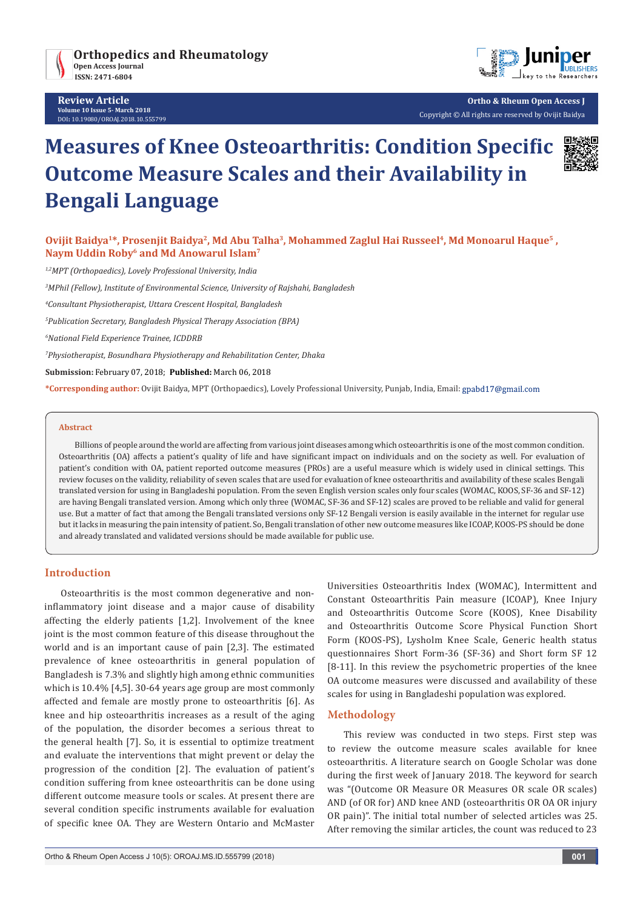

**Review Article Volume 10 Issue 5- March 2018** DOI**:** [10.19080/OROAJ.2018.10.555799](http://dx.doi.org/10.19080/OROAJ.2018.10.555799)



**Ortho & Rheum Open Access J** Copyright © All rights are reserved by Ovijit Baidya

# **Measures of Knee Osteoarthritis: Condition Specific Outcome Measure Scales and their Availability in Bengali Language**

Ovijit Baidya<sup>1\*</sup>, Prosenjit Baidya<sup>2</sup>, Md Abu Talha<sup>3</sup>, Mohammed Zaglul Hai Russeel<sup>4</sup>, Md Monoarul Haque<sup>5</sup>, **Naym Uddin Roby6 and Md Anowarul Islam7**

*1,2MPT (Orthopaedics), Lovely Professional University, India*

*3 MPhil (Fellow), Institute of Environmental Science, University of Rajshahi, Bangladesh*

*4 Consultant Physiotherapist, Uttara Crescent Hospital, Bangladesh*

*5 Publication Secretary, Bangladesh Physical Therapy Association (BPA)*

*6 National Field Experience Trainee, ICDDRB*

*7 Physiotherapist, Bosundhara Physiotherapy and Rehabilitation Center, Dhaka*

**Submission:** February 07, 2018; **Published:** March 06, 2018

**\*Corresponding author:** Ovijit Baidya, MPT (Orthopaedics), Lovely Professional University, Punjab, India, Email:

#### **Abstract**

Billions of people around the world are affecting from various joint diseases among which osteoarthritis is one of the most common condition. Osteoarthritis (OA) affects a patient's quality of life and have significant impact on individuals and on the society as well. For evaluation of patient's condition with OA, patient reported outcome measures (PROs) are a useful measure which is widely used in clinical settings. This review focuses on the validity, reliability of seven scales that are used for evaluation of knee osteoarthritis and availability of these scales Bengali translated version for using in Bangladeshi population. From the seven English version scales only four scales (WOMAC, KOOS, SF-36 and SF-12) are having Bengali translated version. Among which only three (WOMAC, SF-36 and SF-12) scales are proved to be reliable and valid for general use. But a matter of fact that among the Bengali translated versions only SF-12 Bengali version is easily available in the internet for regular use but it lacks in measuring the pain intensity of patient. So, Bengali translation of other new outcome measures like ICOAP, KOOS-PS should be done and already translated and validated versions should be made available for public use.

## **Introduction**

Osteoarthritis is the most common degenerative and noninflammatory joint disease and a major cause of disability affecting the elderly patients [1,2]. Involvement of the knee joint is the most common feature of this disease throughout the world and is an important cause of pain [2,3]. The estimated prevalence of knee osteoarthritis in general population of Bangladesh is 7.3% and slightly high among ethnic communities which is 10.4% [4,5]. 30-64 years age group are most commonly affected and female are mostly prone to osteoarthritis [6]. As knee and hip osteoarthritis increases as a result of the aging of the population, the disorder becomes a serious threat to the general health [7]. So, it is essential to optimize treatment and evaluate the interventions that might prevent or delay the progression of the condition [2]. The evaluation of patient's condition suffering from knee osteoarthritis can be done using different outcome measure tools or scales. At present there are several condition specific instruments available for evaluation of specific knee OA. They are Western Ontario and McMaster Universities Osteoarthritis Index (WOMAC), Intermittent and Constant Osteoarthritis Pain measure (ICOAP), Knee Injury and Osteoarthritis Outcome Score (KOOS), Knee Disability and Osteoarthritis Outcome Score Physical Function Short Form (KOOS-PS), Lysholm Knee Scale, Generic health status questionnaires Short Form-36 (SF-36) and Short form SF 12 [8-11]. In this review the psychometric properties of the knee OA outcome measures were discussed and availability of these scales for using in Bangladeshi population was explored.

## **Methodology**

This review was conducted in two steps. First step was to review the outcome measure scales available for knee osteoarthritis. A literature search on Google Scholar was done during the first week of January 2018. The keyword for search was "(Outcome OR Measure OR Measures OR scale OR scales) AND (of OR for) AND knee AND (osteoarthritis OR OA OR injury OR pain)". The initial total number of selected articles was 25. After removing the similar articles, the count was reduced to 23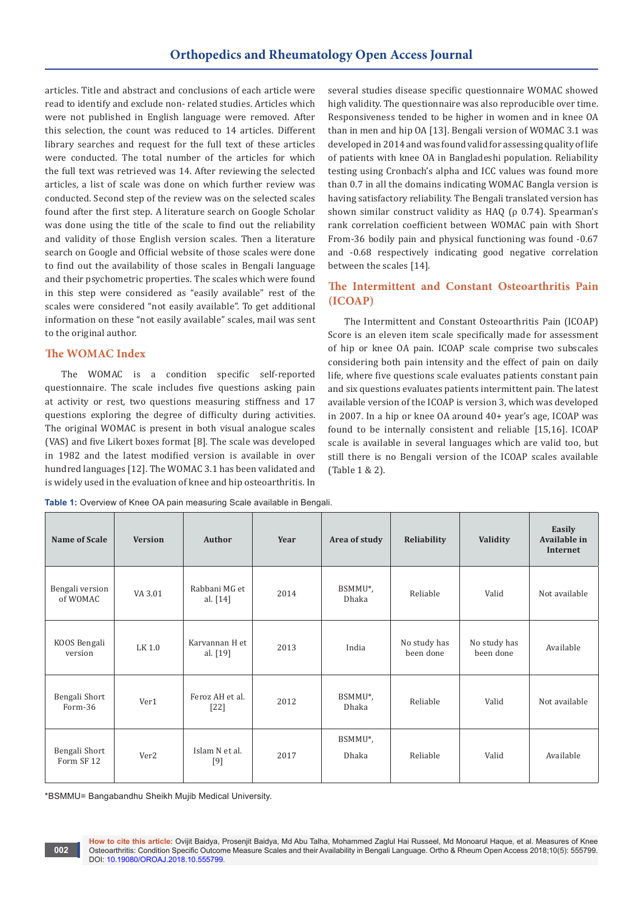articles. Title and abstract and conclusions of each article were read to identify and exclude non- related studies. Articles which were not published in English language were removed. After this selection, the count was reduced to 14 articles. Different library searches and request for the full text of these articles were conducted. The total number of the articles for which the full text was retrieved was 14. After reviewing the selected articles, a list of scale was done on which further review was conducted. Second step of the review was on the selected scales found after the first step. A literature search on Google Scholar was done using the title of the scale to find out the reliability and validity of those English version scales. Then a literature search on Google and Official website of those scales were done to find out the availability of those scales in Bengali language and their psychometric properties. The scales which were found in this step were considered as "easily available" rest of the scales were considered "not easily available". To get additional information on these "not easily available" scales, mail was sent to the original author.

## **The WOMAC Index**

The WOMAC is a condition specific self-reported questionnaire. The scale includes five questions asking pain at activity or rest, two questions measuring stiffness and 17 questions exploring the degree of difficulty during activities. The original WOMAC is present in both visual analogue scales (VAS) and five Likert boxes format [8]. The scale was developed in 1982 and the latest modified version is available in over hundred languages [12]. The WOMAC 3.1 has been validated and is widely used in the evaluation of knee and hip osteoarthritis. In several studies disease specific questionnaire WOMAC showed high validity. The questionnaire was also reproducible over time. Responsiveness tended to be higher in women and in knee OA than in men and hip OA [13]. Bengali version of WOMAC 3.1 was developed in 2014 and was found valid for assessing quality of life of patients with knee OA in Bangladeshi population. Reliability testing using Cronbach's alpha and ICC values was found more than 0.7 in all the domains indicating WOMAC Bangla version is having satisfactory reliability. The Bengali translated version has shown similar construct validity as HAQ (ρ 0.74). Spearman's rank correlation coefficient between WOMAC pain with Short From-36 bodily pain and physical functioning was found -0.67 and -0.68 respectively indicating good negative correlation between the scales [14].

## **The Intermittent and Constant Osteoarthritis Pain (ICOAP)**

The Intermittent and Constant Osteoarthritis Pain (ICOAP) Score is an eleven item scale specifically made for assessment of hip or knee OA pain. ICOAP scale comprise two subscales considering both pain intensity and the effect of pain on daily life, where five questions scale evaluates patients constant pain and six questions evaluates patients intermittent pain. The latest available version of the ICOAP is version 3, which was developed in 2007. In a hip or knee OA around 40+ year's age, ICOAP was found to be internally consistent and reliable [15,16]. ICOAP scale is available in several languages which are valid too, but still there is no Bengali version of the ICOAP scales available (Table 1 & 2).

| Name of Scale               | <b>Version</b>   | Author                      | Year | Area of study    | Reliability               | Validity                  | Easily<br>Available in<br>Internet |
|-----------------------------|------------------|-----------------------------|------|------------------|---------------------------|---------------------------|------------------------------------|
| Bengali version<br>of WOMAC | VA 3.01          | Rabbani MG et<br>al. $[14]$ | 2014 | BSMMU*,<br>Dhaka | Reliable                  | Valid                     | Not available                      |
| KOOS Bengali<br>version     | LK 1.0           | Karvannan H et<br>al. [19]  | 2013 | India            | No study has<br>been done | No study has<br>been done | Available                          |
| Bengali Short<br>Form-36    | Ver1             | Feroz AH et al.<br>$[22]$   | 2012 | BSMMU*,<br>Dhaka | Reliable                  | Valid                     | Not available                      |
| Bengali Short<br>Form SF 12 | Ver <sub>2</sub> | Islam N et al.<br>[9]       | 2017 | BSMMU*,<br>Dhaka | Reliable                  | Valid                     | Available                          |

Table 1: Overview of Knee OA pain measuring Scale available in Bengali.

\*BSMMU= Bangabandhu Sheikh Mujib Medical University.

**002**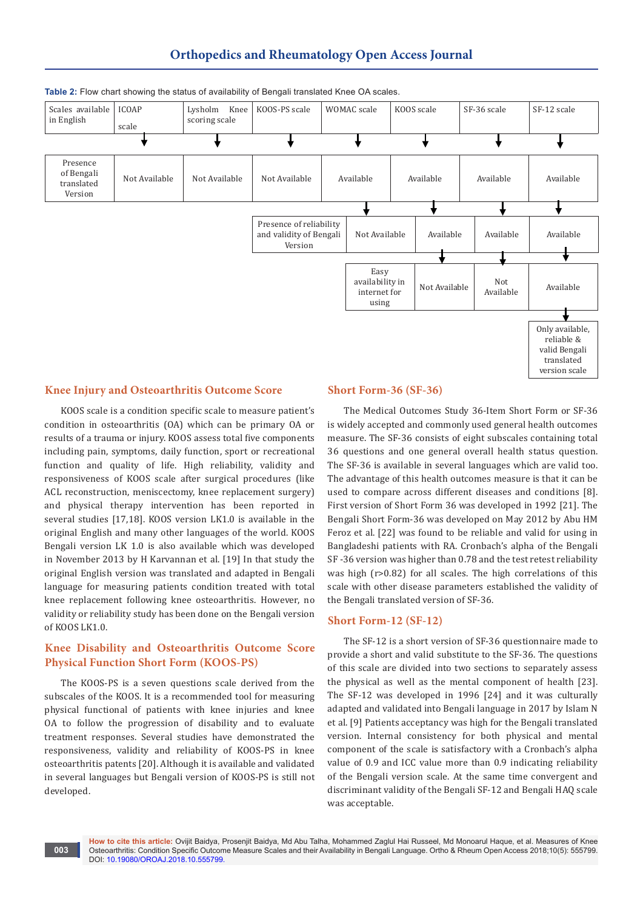## **Orthopedics and Rheumatology Open Access Journal**



#### **Table 2:** Flow chart showing the status of availability of Bengali translated Knee OA scales.

### **Knee Injury and Osteoarthritis Outcome Score**

KOOS scale is a condition specific scale to measure patient's condition in osteoarthritis (OA) which can be primary OA or results of a trauma or injury. KOOS assess total five components including pain, symptoms, daily function, sport or recreational function and quality of life. High reliability, validity and responsiveness of KOOS scale after surgical procedures (like ACL reconstruction, meniscectomy, knee replacement surgery) and physical therapy intervention has been reported in several studies [17,18]. KOOS version LK1.0 is available in the original English and many other languages of the world. KOOS Bengali version LK 1.0 is also available which was developed in November 2013 by H Karvannan et al. [19] In that study the original English version was translated and adapted in Bengali language for measuring patients condition treated with total knee replacement following knee osteoarthritis. However, no validity or reliability study has been done on the Bengali version of KOOS LK1.0.

## **Knee Disability and Osteoarthritis Outcome Score Physical Function Short Form (KOOS-PS)**

The KOOS-PS is a seven questions scale derived from the subscales of the KOOS. It is a recommended tool for measuring physical functional of patients with knee injuries and knee OA to follow the progression of disability and to evaluate treatment responses. Several studies have demonstrated the responsiveness, validity and reliability of KOOS-PS in knee osteoarthritis patents [20]. Although it is available and validated in several languages but Bengali version of KOOS-PS is still not developed.

#### **Short Form-36 (SF-36)**

The Medical Outcomes Study 36-Item Short Form or SF-36 is widely accepted and commonly used general health outcomes measure. The SF-36 consists of eight subscales containing total 36 questions and one general overall health status question. The SF-36 is available in several languages which are valid too. The advantage of this health outcomes measure is that it can be used to compare across different diseases and conditions [8]. First version of Short Form 36 was developed in 1992 [21]. The Bengali Short Form-36 was developed on May 2012 by Abu HM Feroz et al. [22] was found to be reliable and valid for using in Bangladeshi patients with RA. Cronbach's alpha of the Bengali SF -36 version was higher than 0.78 and the test retest reliability was high (r>0.82) for all scales. The high correlations of this scale with other disease parameters established the validity of the Bengali translated version of SF-36.

### **Short Form-12 (SF-12)**

The SF-12 is a short version of SF-36 questionnaire made to provide a short and valid substitute to the SF-36. The questions of this scale are divided into two sections to separately assess the physical as well as the mental component of health [23]. The SF-12 was developed in 1996 [24] and it was culturally adapted and validated into Bengali language in 2017 by Islam N et al. [9] Patients acceptancy was high for the Bengali translated version. Internal consistency for both physical and mental component of the scale is satisfactory with a Cronbach's alpha value of 0.9 and ICC value more than 0.9 indicating reliability of the Bengali version scale. At the same time convergent and discriminant validity of the Bengali SF-12 and Bengali HAQ scale was acceptable.

**How to cite this article:** Ovijit Baidya, Prosenjit Baidya, Md Abu Talha, Mohammed Zaglul Hai Russeel, Md Monoarul Haque, et al. Measures of Knee Osteoarthritis: Condition Specific Outcome Measure Scales and their Availability in Bengali Language. Ortho & Rheum Open Access 2018;10(5): 555799. DOI: [10.19080/OROAJ.2018.10.555799.](http://dx.doi.org/10.19080/OROAJ.2018.10.555799)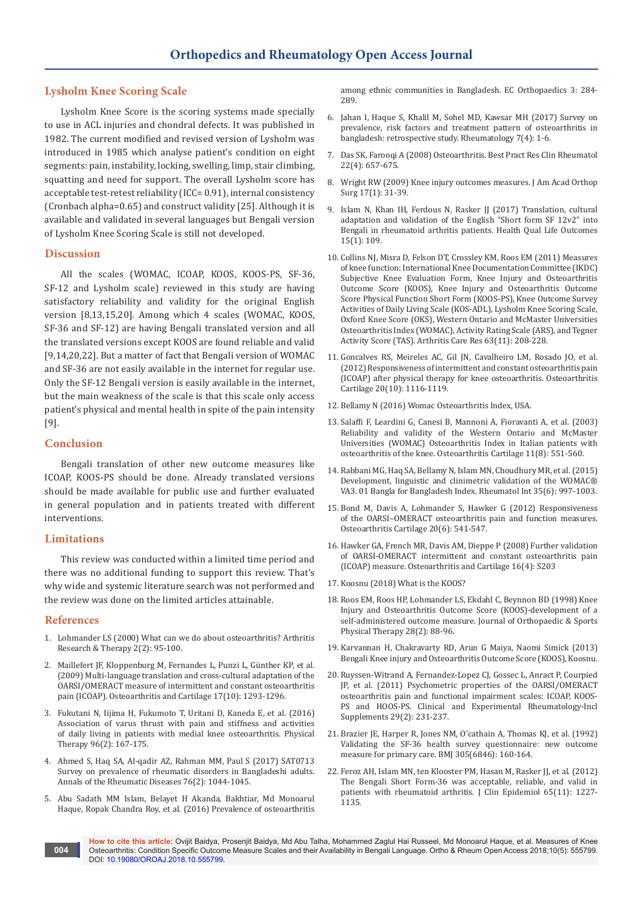## **Lysholm Knee Scoring Scale**

Lysholm Knee Score is the scoring systems made specially to use in ACL injuries and chondral defects. It was published in 1982. The current modified and revised version of Lysholm was introduced in 1985 which analyse patient's condition on eight segments: pain, instability, locking, swelling, limp, stair climbing, squatting and need for support. The overall Lysholm score has acceptable test-retest reliability (ICC= 0.91), internal consistency (Cronbach alpha=0.65) and construct validity [25]. Although it is available and validated in several languages but Bengali version of Lysholm Knee Scoring Scale is still not developed.

#### **Discussion**

All the scales (WOMAC, ICOAP, KOOS, KOOS-PS, SF-36, SF-12 and Lysholm scale) reviewed in this study are having satisfactory reliability and validity for the original English version [8,13,15,20]. Among which 4 scales (WOMAC, KOOS, SF-36 and SF-12) are having Bengali translated version and all the translated versions except KOOS are found reliable and valid [9,14,20,22]. But a matter of fact that Bengali version of WOMAC and SF-36 are not easily available in the internet for regular use. Only the SF-12 Bengali version is easily available in the internet, but the main weakness of the scale is that this scale only access patient's physical and mental health in spite of the pain intensity [9].

## **Conclusion**

Bengali translation of other new outcome measures like ICOAP, KOOS-PS should be done. Already translated versions should be made available for public use and further evaluated in general population and in patients treated with different interventions.

### **Limitations**

This review was conducted within a limited time period and there was no additional funding to support this review. That's why wide and systemic literature search was not performed and the review was done on the limited articles attainable.

#### **References**

- 1. [Lohmander LS \(2000\) What can we do about osteoarthritis? Arthritis](https://arthritis-research.biomedcentral.com/articles/10.1186/ar74)  [Research & Therapy 2\(2\): 95-100.](https://arthritis-research.biomedcentral.com/articles/10.1186/ar74)
- 2. [Maillefert JF, Kloppenburg M, Fernandes L, Punzi L, Günther KP, et al.](https://www.ncbi.nlm.nih.gov/pubmed/19410033)  [\(2009\) Multi-language translation and cross-cultural adaptation of the](https://www.ncbi.nlm.nih.gov/pubmed/19410033)  [OARSI/OMERACT measure of intermittent and constant osteoarthritis](https://www.ncbi.nlm.nih.gov/pubmed/19410033)  [pain \(ICOAP\). Osteoarthritis and Cartilage 17\(10\): 1293-1296.](https://www.ncbi.nlm.nih.gov/pubmed/19410033)
- 3. [Fukutani N, Iijima H, Fukumoto T, Uritani D, Kaneda E, et al. \(2016\)](https://www.ncbi.nlm.nih.gov/pubmed/26089038)  [Association of varus thrust with pain and stiffness and activities](https://www.ncbi.nlm.nih.gov/pubmed/26089038)  [of daily living in patients with medial knee osteoarthritis. Physical](https://www.ncbi.nlm.nih.gov/pubmed/26089038)  [Therapy 96\(2\): 167-175.](https://www.ncbi.nlm.nih.gov/pubmed/26089038)
- 4. [Ahmed S, Haq SA, Al-qadir AZ, Rahman MM, Paul S \(2017\) SAT0713](http://ard.bmj.com/content/76/Suppl_2/1044.3)  [Survey on prevalence of rheumatic disorders in Bangladeshi adults.](http://ard.bmj.com/content/76/Suppl_2/1044.3)  [Annals of the Rheumatic Diseases 76\(2\): 1044-1045.](http://ard.bmj.com/content/76/Suppl_2/1044.3)
- 5. [Abu Sadath MM Islam, Belayet H Akanda, Bakhtiar, Md Monoarul](https://www.ecronicon.com/ecor/pdf/ECOR-03-000053.pdf)  [Haque, Ropak Chandra Roy, et al. \(2016\) Prevalence of osteoarthritis](https://www.ecronicon.com/ecor/pdf/ECOR-03-000053.pdf)

[among ethnic communities in Bangladesh. EC Orthopaedics 3: 284-](https://www.ecronicon.com/ecor/pdf/ECOR-03-000053.pdf) [289.](https://www.ecronicon.com/ecor/pdf/ECOR-03-000053.pdf)

- 6. [Jahan I, Haque S, Khalil M, Sohel MD, Kawsar MH \(2017\) Survey on](https://www.omicsonline.org/open-access/survey-on-prevalence-risk-factors-and-treatment-pattern-of-osteoarthritis-in-bangladesh-retrospective-study-2161-1149-1000230-97267.html)  [prevalence, risk factors and treatment pattern of osteoarthritis in](https://www.omicsonline.org/open-access/survey-on-prevalence-risk-factors-and-treatment-pattern-of-osteoarthritis-in-bangladesh-retrospective-study-2161-1149-1000230-97267.html)  [bangladesh: retrospective study. Rheumatology 7\(4\): 1-6.](https://www.omicsonline.org/open-access/survey-on-prevalence-risk-factors-and-treatment-pattern-of-osteoarthritis-in-bangladesh-retrospective-study-2161-1149-1000230-97267.html)
- 7. [Das SK, Farooqi A \(2008\) Osteoarthritis. Best Pract Res Clin Rheumatol](https://www.ncbi.nlm.nih.gov/pubmed/18783743)  [22\(4\): 657-675.](https://www.ncbi.nlm.nih.gov/pubmed/18783743)
- 8. Wright RW (2009) Knee injury outcomes measures. [J Am Acad Orthop](https://www.ncbi.nlm.nih.gov/pubmed/19136425)  [Surg 17\(1\): 31-39.](https://www.ncbi.nlm.nih.gov/pubmed/19136425)
- 9. Islam N, Khan IH, Ferdous N, Rasker JJ (2017) Translation, cultural [adaptation and validation of the English "Short form SF 12v2" into](https://www.ncbi.nlm.nih.gov/pubmed/28532468)  [Bengali in rheumatoid arthritis patients. Health Qual Life Outcomes](https://www.ncbi.nlm.nih.gov/pubmed/28532468)  [15\(1\): 109.](https://www.ncbi.nlm.nih.gov/pubmed/28532468)
- 10. [Collins NJ, Misra D, Felson DT, Crossley KM, Roos EM \(2011\) Measures](https://www.ncbi.nlm.nih.gov/pubmed/22588746)  [of knee function: International Knee Documentation Committee \(IKDC\)](https://www.ncbi.nlm.nih.gov/pubmed/22588746)  [Subjective Knee Evaluation Form, Knee Injury and Osteoarthritis](https://www.ncbi.nlm.nih.gov/pubmed/22588746)  [Outcome Score \(KOOS\), Knee Injury and Osteoarthritis Outcome](https://www.ncbi.nlm.nih.gov/pubmed/22588746)  [Score Physical Function Short Form \(KOOS-PS\), Knee Outcome Survey](https://www.ncbi.nlm.nih.gov/pubmed/22588746)  [Activities of Daily Living Scale \(KOS-ADL\), Lysholm Knee Scoring Scale,](https://www.ncbi.nlm.nih.gov/pubmed/22588746)  [Oxford Knee Score \(OKS\), Western Ontario and McMaster Universities](https://www.ncbi.nlm.nih.gov/pubmed/22588746)  [Osteoarthritis Index \(WOMAC\), Activity Rating Scale \(ARS\), and Tegner](https://www.ncbi.nlm.nih.gov/pubmed/22588746)  [Activity Score \(TAS\). Arthritis Care Res 63\(11\): 208-228.](https://www.ncbi.nlm.nih.gov/pubmed/22588746)
- 11. [Goncalves RS, Meireles AC, Gil JN, Cavalheiro LM, Rosado JO, et al.](https://www.ncbi.nlm.nih.gov/pubmed/22771773)  [\(2012\) Responsiveness of intermittent and constant osteoarthritis pain](https://www.ncbi.nlm.nih.gov/pubmed/22771773)  [\(ICOAP\) after physical therapy for knee osteoarthritis. Osteoarthritis](https://www.ncbi.nlm.nih.gov/pubmed/22771773)  [Cartilage 20\(10\): 1116-1119.](https://www.ncbi.nlm.nih.gov/pubmed/22771773)
- 12. [Bellamy N \(2016\) Womac Osteoarthritis Index, USA.](http://www.womac.org/womac/index.htm)
- 13. [Salaffi F, Leardini G, Canesi B, Mannoni A, Fioravanti A, et al. \(2003\)](https://www.ncbi.nlm.nih.gov/pubmed/12880577)  [Reliability and validity of the Western Ontario and McMaster](https://www.ncbi.nlm.nih.gov/pubmed/12880577)  [Universities \(WOMAC\) Osteoarthritis Index in Italian patients with](https://www.ncbi.nlm.nih.gov/pubmed/12880577)  [osteoarthritis of the knee. Osteoarthritis Cartilage 11\(8\): 551-560.](https://www.ncbi.nlm.nih.gov/pubmed/12880577)
- 14. [Rabbani MG, Haq SA, Bellamy N, Islam MN, Choudhury MR, et al. \(2015\)](https://www.ncbi.nlm.nih.gov/pubmed/25510291)  [Development, linguistic and clinimetric validation of the WOMAC®](https://www.ncbi.nlm.nih.gov/pubmed/25510291)  [VA3. 01 Bangla for Bangladesh Index. Rheumatol Int 35\(6\): 997-1003.](https://www.ncbi.nlm.nih.gov/pubmed/25510291)
- 15. [Bond M, Davis A, Lohmander S, Hawker G \(2012\) Responsiveness](https://www.ncbi.nlm.nih.gov/pubmed/22425883)  [of the OARSI–OMERACT osteoarthritis pain and function measures.](https://www.ncbi.nlm.nih.gov/pubmed/22425883)  [Osteoarthritis Cartilage 20\(6\): 541-547.](https://www.ncbi.nlm.nih.gov/pubmed/22425883)
- 16. [Hawker GA, French MR, Davis AM, Dieppe P \(2008\) Further validation](http://www.oarsijournal.com/article/S1063-4584(08)60508-7/abstract)  [of OARSI-OMERACT intermittent and constant osteoarthritis pain](http://www.oarsijournal.com/article/S1063-4584(08)60508-7/abstract)  [\(ICOAP\) measure. Osteoarthritis and Cartilage 16\(4\): S203](http://www.oarsijournal.com/article/S1063-4584(08)60508-7/abstract)
- 17. [Koosnu \(2018\) What is the KOOS?](http://www.koos.nu/koospresentation.html)
- 18. [Roos EM, Roos HP, Lohmander LS, Ekdahl C, Beynnon BD \(1998\) Knee](https://www.ncbi.nlm.nih.gov/pubmed/9699158)  [Injury and Osteoarthritis Outcome Score \(KOOS\)-development of a](https://www.ncbi.nlm.nih.gov/pubmed/9699158)  [self-administered outcome measure. Journal of Orthopaedic & Sports](https://www.ncbi.nlm.nih.gov/pubmed/9699158)  [Physical Therapy 28\(2\): 88-96.](https://www.ncbi.nlm.nih.gov/pubmed/9699158)
- 19. [Karvannan H, Chakravarty RD, Arun G Maiya, Naomi Simick \(2013\)](http://www.koos.nu/koosbengali.pdf)  [Bengali Knee injury and Osteoarthritis Outcome Score \(KOOS\), Koosnu.](http://www.koos.nu/koosbengali.pdf)
- 20. [Ruyssen-Witrand A, Fernandez-Lopez CJ, Gossec L, Anract P, Courpied](https://www.ncbi.nlm.nih.gov/pubmed/21470490)  [JP, et al. \(2011\) Psychometric properties of the OARSI/OMERACT](https://www.ncbi.nlm.nih.gov/pubmed/21470490)  [osteoarthritis pain and functional impairment scales: ICOAP, KOOS-](https://www.ncbi.nlm.nih.gov/pubmed/21470490)[PS and HOOS-PS. Clinical and Experimental Rheumatology-Incl](https://www.ncbi.nlm.nih.gov/pubmed/21470490)  [Supplements 29\(2\): 231-237.](https://www.ncbi.nlm.nih.gov/pubmed/21470490)
- 21. [Brazier JE, Harper R, Jones NM, O'cathain A, Thomas KJ, et al. \(1992\)](https://www.ncbi.nlm.nih.gov/pubmed/1285753)  [Validating the SF-36 health survey questionnaire: new outcome](https://www.ncbi.nlm.nih.gov/pubmed/1285753)  [measure for primary care. BMJ 305\(6846\): 160-164.](https://www.ncbi.nlm.nih.gov/pubmed/1285753)
- 22. Feroz AH, Islam MN, ten Klooster PM, Hasan M, Rasker JJ, et al. (2012) [The Bengali Short Form-36 was acceptable, reliable, and valid in](https://www.ncbi.nlm.nih.gov/pubmed/23017640)  [patients with rheumatoid arthritis. J Clin Epidemiol 65\(11\): 1227-](https://www.ncbi.nlm.nih.gov/pubmed/23017640) [1135.](https://www.ncbi.nlm.nih.gov/pubmed/23017640)

**How to cite this article:** Ovijit Baidya, Prosenjit Baidya, Md Abu Talha, Mohammed Zaglul Hai Russeel, Md Monoarul Haque, et al. Measures of Knee Osteoarthritis: Condition Specific Outcome Measure Scales and their Availability in Bengali Language. Ortho & Rheum Open Access 2018;10(5): 555799. DOI: [10.19080/OROAJ.2018.10.555799.](http://dx.doi.org/10.19080/OROAJ.2018.10.555799) **004**